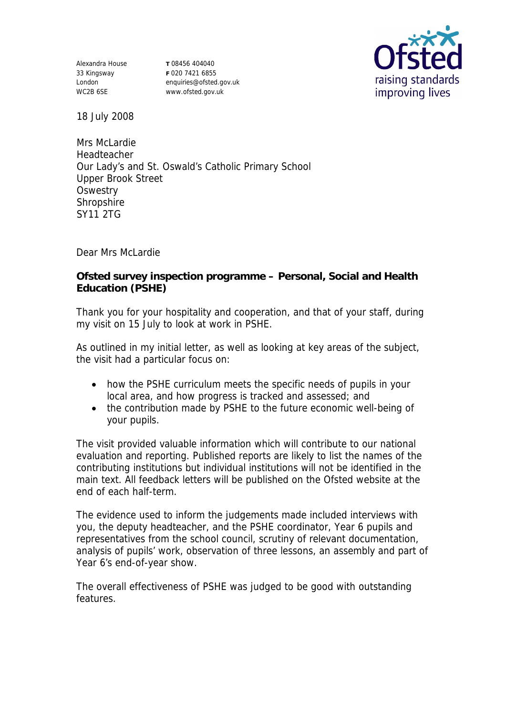Alexandra House 33 Kingsway London WC2B 6SE

**T** 08456 404040 **F** 020 7421 6855 enquiries@ofsted.gov.uk www.ofsted.gov.uk



18 July 2008

Mrs McLardie Headteacher Our Lady's and St. Oswald's Catholic Primary School Upper Brook Street **Oswestry Shropshire** SY11 2TG

Dear Mrs McLardie

**Ofsted survey inspection programme – Personal, Social and Health Education (PSHE)**

Thank you for your hospitality and cooperation, and that of your staff, during my visit on 15 July to look at work in PSHE.

As outlined in my initial letter, as well as looking at key areas of the subject, the visit had a particular focus on:

- how the PSHE curriculum meets the specific needs of pupils in your local area, and how progress is tracked and assessed; and
- the contribution made by PSHE to the future economic well-being of your pupils.

The visit provided valuable information which will contribute to our national evaluation and reporting. Published reports are likely to list the names of the contributing institutions but individual institutions will not be identified in the main text. All feedback letters will be published on the Ofsted website at the end of each half-term.

The evidence used to inform the judgements made included interviews with you, the deputy headteacher, and the PSHE coordinator, Year 6 pupils and representatives from the school council, scrutiny of relevant documentation, analysis of pupils' work, observation of three lessons, an assembly and part of Year 6's end-of-year show.

The overall effectiveness of PSHE was judged to be good with outstanding features.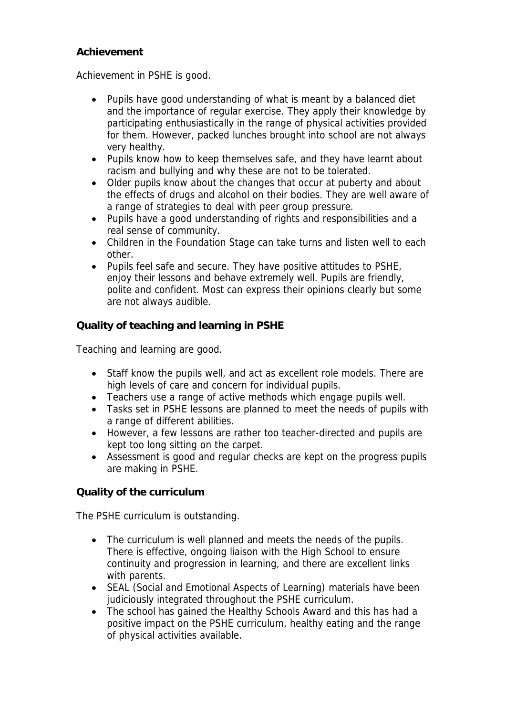## **Achievement**

Achievement in PSHE is good.

- Pupils have good understanding of what is meant by a balanced diet and the importance of regular exercise. They apply their knowledge by participating enthusiastically in the range of physical activities provided for them. However, packed lunches brought into school are not always very healthy.
- Pupils know how to keep themselves safe, and they have learnt about racism and bullying and why these are not to be tolerated.
- Older pupils know about the changes that occur at puberty and about the effects of drugs and alcohol on their bodies. They are well aware of a range of strategies to deal with peer group pressure.
- Pupils have a good understanding of rights and responsibilities and a real sense of community.
- Children in the Foundation Stage can take turns and listen well to each other.
- Pupils feel safe and secure. They have positive attitudes to PSHE, enjoy their lessons and behave extremely well. Pupils are friendly, polite and confident. Most can express their opinions clearly but some are not always audible.

**Quality of teaching and learning in PSHE**

Teaching and learning are good.

- Staff know the pupils well, and act as excellent role models. There are high levels of care and concern for individual pupils.
- Teachers use a range of active methods which engage pupils well.
- Tasks set in PSHE lessons are planned to meet the needs of pupils with a range of different abilities.
- However, a few lessons are rather too teacher-directed and pupils are kept too long sitting on the carpet.
- Assessment is good and regular checks are kept on the progress pupils are making in PSHE.

**Quality of the curriculum** 

The PSHE curriculum is outstanding.

- The curriculum is well planned and meets the needs of the pupils. There is effective, ongoing liaison with the High School to ensure continuity and progression in learning, and there are excellent links with parents.
- SEAL (Social and Emotional Aspects of Learning) materials have been judiciously integrated throughout the PSHE curriculum.
- The school has gained the Healthy Schools Award and this has had a positive impact on the PSHE curriculum, healthy eating and the range of physical activities available.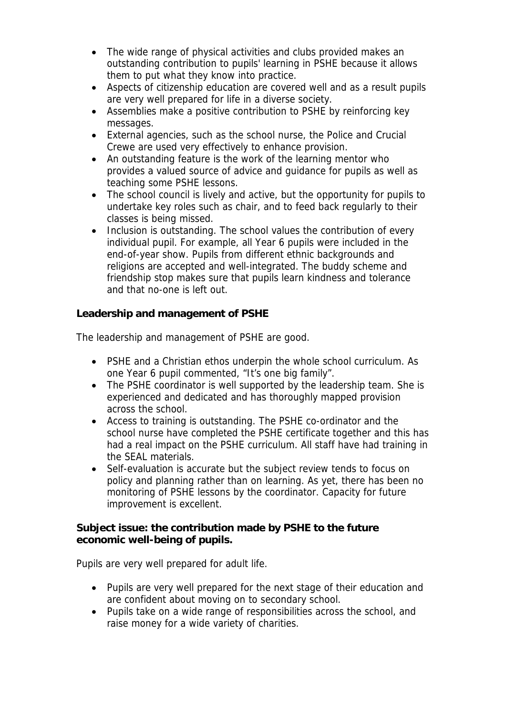- The wide range of physical activities and clubs provided makes an outstanding contribution to pupils' learning in PSHE because it allows them to put what they know into practice.
- Aspects of citizenship education are covered well and as a result pupils are very well prepared for life in a diverse society.
- Assemblies make a positive contribution to PSHE by reinforcing key messages.
- External agencies, such as the school nurse, the Police and Crucial Crewe are used very effectively to enhance provision.
- An outstanding feature is the work of the learning mentor who provides a valued source of advice and guidance for pupils as well as teaching some PSHE lessons.
- The school council is lively and active, but the opportunity for pupils to undertake key roles such as chair, and to feed back regularly to their classes is being missed.
- Inclusion is outstanding. The school values the contribution of every individual pupil. For example, all Year 6 pupils were included in the end-of-year show. Pupils from different ethnic backgrounds and religions are accepted and well-integrated. The buddy scheme and friendship stop makes sure that pupils learn kindness and tolerance and that no-one is left out.

**Leadership and management of PSHE**

The leadership and management of PSHE are good.

- PSHE and a Christian ethos underpin the whole school curriculum. As one Year 6 pupil commented, "It's one big family".
- The PSHE coordinator is well supported by the leadership team. She is experienced and dedicated and has thoroughly mapped provision across the school.
- Access to training is outstanding. The PSHE co-ordinator and the school nurse have completed the PSHE certificate together and this has had a real impact on the PSHE curriculum. All staff have had training in the SEAL materials.
- Self-evaluation is accurate but the subject review tends to focus on policy and planning rather than on learning. As yet, there has been no monitoring of PSHE lessons by the coordinator. Capacity for future improvement is excellent.

**Subject issue: the contribution made by PSHE to the future economic well-being of pupils.**

Pupils are very well prepared for adult life.

- Pupils are very well prepared for the next stage of their education and are confident about moving on to secondary school.
- Pupils take on a wide range of responsibilities across the school, and raise money for a wide variety of charities.